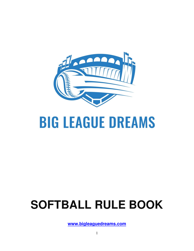

# **BIG LEAGUE DREAMS**

# **SOFTBALL RULE BOOK**

**www.bigleaguedreams.com**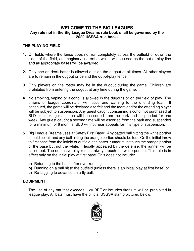# **WELCOME TO THE BIG LEAGUES Any rule not in the Big League Dreams rule book shall be governed by the 2022 USSSA rule book.**

# **THE PLAYING FIELD**

- **1.** On fields where the fence does not run completely across the outfield or down the sides of the field, an imaginary line exists which will be used as the out of play line and all appropriate bases will be awarded.
- **2.** Only one on-deck batter is allowed outside the dugout at all times. All other players are to remain in the dugout or behind the out-of-play fence.
- **3.** Only players on the roster may be in the dugout during the game. Children are prohibited from entering the dugout at any time during the game.
- **4.** No smoking, vaping or alcohol is allowed in the dugouts or on the field of play. The umpire or league coordinator will issue one warning to the offending team. If continued, the game will be declared a forfeit and the team and/or the offending player will be subject to suspension. Any guest caught consuming alcohol not purchased at BLD or smoking marijuana will be escorted from the park and suspended for one week. Any guest caught a second time will be escorted from the park and suspended for a minimum of 6 months. BLD will not hear appeals for this type of suspension.
- **5.** Big League Dreams uses a "Safety First Base". Any batted ball hitting the white portion should be fair and any ball hitting the orange portion should be foul. On the initial throw to first base from the infield or outfield, the batter-runner must touch the orange portion of the base but not the white. If legally appealed by the defense, the runner will be called out. The defensive player must always touch the white portion. This rule is in effect only on the initial play at first base. This does not include:
	- **a)** Returning to the base after over-running,
	- **b)** Running on a ball hit to the outfield (unless there is an initial play at first base) or
	- **c)** Re-tagging to advance on a fly ball.

# **EQUIPMENT**

**1.** The use of any bat that exceeds 1.20 BPF or includes titanium will be prohibited in league play. All bats must have the official USSSA stamp pictured below:

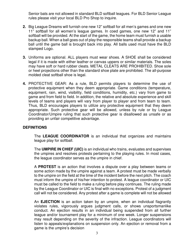Senior bats are not allowed in standard BLD softball leagues. For BLD Senior League rules please visit your local BLD Pro Shop to inquire.

- **2.** Big League Dreams will furnish one new 12" softball for all men's games and one new 11" softball for all women's league games. In coed games, one new 12" and 11" softball will be provided. At the start of the game, the home team must furnish a usable backup ball. When a ball goes out of play the responsible teams shall provide a backup ball until the game ball is brought back into play. All balls used must have the BLD stamped Logo.
- **3.** Uniforms are optional. ALL players must wear shoes. A SHOE shall be considered legal if it is made with either leather or canvas uppers or similar materials. The soles may have soft or hard rubber cleats. METAL CLEATS ARE PROHIBITED. Shoe sole or heel projections other than the standard shoe plate are prohibited. The all-purpose molded cleat softball shoe is legal.
- **4.** PROTECTIVE GEAR: As a rule, BLD permits players to determine the use of protective equipment when they deem appropriate. Game conditions (temperature, equipment, rain, wind, visibility, field conditions, humidity, etc.) vary from game to game and from field to field. In addition, the relative and absolute experience and skill levels of teams and players will vary from player to player and from team to team. Thus, BLD encourages players to utilize any protective equipment that they deem appropriate. Such protective gear will be allowed, unless by rule or by League Coordinator/Umpire ruling that such protective gear is disallowed as unsafe or as providing an unfair competitive advantage.

# **DEFINITIONS**

The **LEAGUE COORDINATOR** is an individual that organizes and maintains league play for softball.

The **UMPIRE IN CHIEF (UIC)** is an individual who trains, evaluates and supervises the umpires and resolves protests pertaining to the playing rules. In most cases, the league coordinator serves as the umpire in chief.

A **PROTEST** is an action that involves a dispute over a play between teams or some action made by the umpire against a team. A protest must be made verbally to the umpire on the field at the time of the incident before the next pitch. The coach must inform the umpire of his/her intention to protest. A league coordinator or UIC must be called to the field to make a ruling before play continues. The ruling made by the League Coordinator or UIC is final with no exceptions. Protest of a judgment call will not be considered. Any protest after a game is complete will not be allowed

An **EJECTION** is an action taken by an umpire, when an individual flagrantly violates rules, vigorously argues judgment calls, or shows unsportsmanlike conduct. An ejection results in an individual being suspended from all further league and/or tournament play for a minimum of one week. Longer suspensions may result depending on the severity of the infraction. League coordinators will listen to appeals/explanations on suspension only. An ejection or removal from a game is the umpire's decision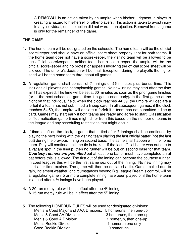A **REMOVAL** is an action taken by an umpire when his/her judgment, a player is creating a hazard to his/herself or other players. This action is taken to avoid injury to any individual, or if the action did not warrant an ejection. Removal from a game is only for the remainder of the game.

# **THE GAME**

- **1.** The home team will be designated on the schedule. The home team will be the official scorekeeper and should have an official score sheet properly kept for both teams. If the home team does not have a scorekeeper, the visiting team will be allowed to be the official scorekeeper. If neither team has a scorekeeper, the umpire will be the official scorekeeper and no protest or appeals involving the official score sheet will be allowed. The umpire's decision will be final. Exception: during the playoffs the higher seed will be the home team throughout all games.
- **2.** A regulation game shall consist of 7 innings or **55** minutes plus bonus time. This includes all playoffs and championship games. No new inning may start after the time limit has expired. The time will be set at 60 minutes as soon as the prior game finishes (or at the next scheduled game time if a game ends early)**.** In the first game of the night on that individual field, when the clock reaches 44:59, the umpire will declare a forfeit if a team has not submitted a lineup card. In all subsequent games, if the clock reaches 54:59, the umpire will declare a forfeit if a team has not submitted a lineup card. Games may start early if both teams are ready and agree to start. Classification or Tournafication game times might differ from this based on the number of teams in the league and any scheduling restrictions that might occur.
- **3.** If time is left on the clock, a game that is tied after 7 innings shall be continued by playing the next inning with the visiting team placing the last official batter (not the last out) during the previous inning on second base. The same shall happen with the home team. Play will continue until the tie is broken. If the last official batter was out due to a vacant spot in the lineup, then no runner will be put on second base for that team. **Courtesy runners are permitted** but at least one batter must have completed an at bat before this is allowed. The first out of the inning can become the courtesy runner. In coed leagues this will be the first same sex out of the inning. No new inning may start after time expires. The game will then be declared a tie. Games called due to rain, inclement weather, or circumstances beyond Big League Dream's control, will be a regulation game if 5 or more complete inning have been played or if the home team is ahead after 4  $\frac{1}{2}$  innings have been played.
- **4.** A 20-run mercy rule will be in effect after the 4<sup>th</sup> inning. A 15-run mercy rule will be in effect after the  $5<sup>th</sup>$  inning.
- **5.** The following HOMERUN RULES will be used for designated divisions: Men's & Coed Major and AAA Divisions: 5 homeruns, then one-up Men's & Coed AA Division: 3 homeruns, then one-up Men's & Coed A Division: 1 homerun, then one-up Men's Rookie Division: 1 homerun one only Coed Rookie Division **Coed Rookie** Division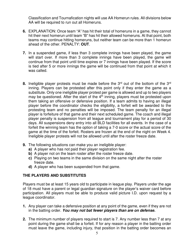Classification and Tournafication nights will use AA Homerun rules. All divisions below AA will be required to run out all Homeruns.

- **6.** EXPLANATION: Once team "A" has hit their total of homeruns in a game, they cannot hit their next homerun until team "B" has hit their allowed homeruns. At that point, both teams may continue hitting homeruns, but neither team can be more than 1 homerun ahead of the other. PENALTY: **OUT**.
- **7.** In a suspended game, if less than 3 complete innings have been played, the game will start over. If more than 3 complete innings have been played, the game will continue from that point until time expires or 7 innings have been played. If the score is tied after 5 or more innings the game will be continued from that point at which it was called.
- **8.** Ineligible player protests must be made before the 3<sup>rd</sup> out of the bottom of the 3<sup>rd</sup> inning. Players can be protested after this point only if they enter the game as a substitute. Only one ineligible player protest per game is allowed and up to two players may be questioned. After the start of the  $4<sup>th</sup>$  inning, players must be protested upon them taking an offensive or defensive position. If a team admits to having an illegal player before the coordinator checks the eligibility, a forfeit will be awarded to the protesting team and no penalties will be imposed. The team penalty for an illegal player is forfeiture of that game and their next scheduled game. The coach and illegal player penalty is suspension from all league and tournament play for a period of 30 days. All suspensions deny entry into all BLD facilities for all events. In the case of a forfeit the winning team has the option of taking a 7-0 score or the actual score of the game at the time of the forfeit. Rosters are frozen at the end of the night on Week 4. Ineligible player protests will not be allowed until after the roster freeze date.
- **9.** The following situations can make you an ineligible player:
	- **a)** A player who has not paid their player registration fee.
	- **b)** A player not on the team roster after the roster freeze date.
	- **c)** Playing on two teams in the same division on the same night after the roster freeze date.
	- **d)** A player who has been suspended from that game.

# **THE PLAYERS AND SUBSTITUTES**

Players must be at least 15 years old to participate in league play. Players under the age of 18 must have a parent or legal guardian signature on the player's waiver card before participation. All players must be able to produce valid picture I.D. upon request by a league coordinator.

- **1.** Any player can take a defensive position at any point of the game, even if they are not in the batting order. **You may not bat fewer players than are on defense.**
- **2.** The minimum number of players required to start is 7. Any number less than 7 at any point during the game shall be a forfeit. If for any reason a player in the batting order must leave the game, including injury, that position in the batting order becomes an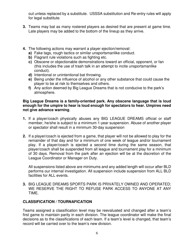out unless replaced by a substitute. USSSA substitution and Re-entry rules will apply for legal substitute.

- **3.** Teams may bat as many rostered players as desired that are present at game time. Late players may be added to the bottom of the lineup as they arrive.
- **4.** The following actions may warrant a player ejection/removal:
	- **a)** Fake tags, rough tactics or similar unsportsmanlike conduct.
	- **b)** Flagrant rule violations such as fighting etc.
	- **c)** Obscene or objectionable demonstrations toward an official, opponent, or fan (this includes the use of trash talk in an attempt to incite unsportsmanlike conduct).
	- **d)** Intentional or unintentional bat throwing.
	- **e)** Being under the influence of alcohol or any other substance that could cause the player to be at risk to themselves and others.
	- **f)** Any action deemed by Big League Dreams that is not conducive to the park's atmosphere.

# **Big League Dreams is a family-oriented park. Any obscene language that is loud enough for the umpire to hear is loud enough for spectators to hear. Umpires need not give advance warning**.

- **1.** If a player/coach physically abuses any BIG LEAGUE DREAMS official or staff member, he/she is subject to a minimum 1-year suspension. Abuse of another player or spectator shall result in a minimum 30-day suspension
- **2.** If a player/coach is ejected from a game, that player will not be allowed to play for the remainder of that day and for a minimum of one week of league and/or tournament play. If a player/coach is ejected a second time during the same season, that player/coach shall be suspended from all league and tournament play for a minimum of 30 days. Removal from the park after an ejection will be at the discretion of the League Coordinator or Manager on Duty.

All suspensions listed above are minimums and any added length will occur after BLD performs our internal investigation. All suspension include suspension from ALL BLD facilities for ALL events.

**3.** BIG LEAGUE DREAMS SPORTS PARK IS PRIVATELY OWNED AND OPERATED; WE RESERVE THE RIGHT TO REFUSE PARK ACCESS TO ANYONE AT ANY TIME.

# **CLASSIFICATION / TOURNAFICATION**

Teams assigned a classification level may be reevaluated and changed after a team's first game to maintain parity in each division. The league coordinator will make the final decisions as to the classifications of each team. If a team's level is changed, that team's record will be carried over to the team's new division.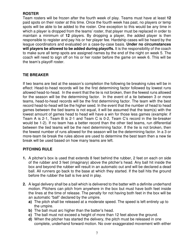# **ROSTER**

Team rosters will be frozen after the fourth week of play. Teams must have at least **12** paid spots on their roster at this time. Once the fourth week has past, no players or temp spots will be able to be added to the roster. One exception to this would be any time in which a player is dropped from the teams' roster, that player must be replaced in order to maintain a minimum of **12** players. By dropping a player, the added player is then responsible to register and pay his or her player fee. Hardship cases will be heard by the league coordinators and evaluated on a case-by-case basis. **Under no circumstances will players be allowed to be added during playoffs.** It is the responsibility of the coach to make sure all temp spots are assigned names by the end of the night on week 5. The coach will need to sign off on his or her roster before the game on week 6. This will be the team's playoff roster.

# **TIE BREAKER**

If two teams are tied at the season's completion the following tie breaking rules will be in effect: Head-to-head records will be the first determining factor followed by lowest runs allowed head-to-head. In the event that the tie is not broken, then the fewest runs allowed for the season will be the determining factor. In the event of a tie between 3 or more teams, head-to-head records will be the first determining factor. The team with the best record head-to-head will be the higher seed. In the event that the number of head to head games between the tied teams is not equal, it will be assumed that the team(s) with the lowest amount of games head to head will have a win for those less games (example: if Team A is 2-1, Team B is 2-1 and Team C is 0-2, Team C's record in the tie-breaker would be 1-2). If no team has a better record than the other tied teams, run differential between the tied teams will be the next determining factor. If the tie is not broken, then the fewest number of runs allowed for the season will be the determining factor. In a 3 or more-team tie break the rules above are used to determine the best team then a new tie break will be used based on how many teams are left.

# **PITCHING RULE**

- **1.** A pitcher's box is used that extends 8 feet behind the rubber, 2 feet on each on side of the rubber and 3 feet (imaginary) above the pitcher's head. Any ball hit inside the box and beyond the rubber will result in an automatic out and will be declared a dead ball. All runners go back to the base at which they started. If the ball hits the ground before the rubber the ball is live and in play.
- **2.** A legal delivery shall be a ball which is delivered to the batter with a definite underhand motion. Pitchers can pitch from anywhere in the box but must have both feet inside the lines at the time of release. The penalty for not having both feet in the box will be an automatic "ball" declared by the umpire.
	- **a)** The pitch shall be released at a moderate speed. The speed is left entirely up to the umpire.
	- **b**) The ball must arc higher than the batter's head.
	- **c)** The ball must not exceed a height of more than 12 feet above the ground.
	- **d)** When the pitcher has started the delivery, the pitch must be released in one complete, underhand forward motion. No over exaggerated movement with either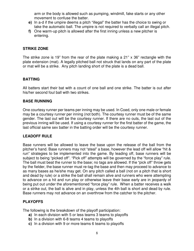arm or the body is allowed such as pumping, windmill, fake starts or any other movement to confuse the batter.

- **e)** In a-d if the umpire deems a pitch "illegal" the batter has the choice to swing or take the automatic ball. The umpire is not required to verbally call an illegal pitch.
- **f)** One warm-up pitch is allowed after the first inning unless a new pitcher is entering.

# **STRIKE ZONE**

The strike zone is 19" from the rear of the plate making a 21" x 36" rectangle with the plate extension (mat). A legally pitched ball not struck that lands on any part of the plate or mat will be a strike. Any pitch landing short of the plate is a dead ball.

#### **BATTING**

All batters start their bat with a count of one ball and one strike. The batter is out after his/her second foul ball with two strikes.

#### **BASE RUNNING**

One courtesy runner per teams per inning may be used. In Coed, only one male or female may be a courtesy runner per inning (not both). The courtesy runner must be of the same gender. The last out will be the courtesy runner. If there are no outs, the last out of the previous inning will be used. If using a courtesy runner for the first batter of the game, the last official same sex batter in the batting order will be the courtesy runner.

# **LEADOFF RULE**

Base runners will be allowed to leave the base upon the release of the ball from the pitcher's hand. Base runners may not "steal" a base, however the lead off will allow "hit & run" strategies to be implemented into the game. By leading off, base runners will be subject to being "picked off". "Pick off" attempts will be governed by the "force play" rule. The ball must beat the runner to the base; no tags are allowed. If the "pick off" throw gets by the fielder, the base runner must re-tag the base and then may proceed to advance to as many bases as he/she may get. On any pitch called a ball (not on a pitch that is short and dead by rule) or a strike the ball shall remain alive and runners who were attempting to advance on a hit and run play or otherwise leave their base early are in jeopardy of being put out under the aforementioned "force play" rule. When a batter receives a walk or a strike out, the ball is alive and in play, unless the 4th ball is short and dead by rule. Base runners may not advance on an overthrow from the catcher to the pitcher.

# **PLAYOFFS**

The following is the breakdown of the playoff participation:

- **a)** In each division with 5 or less teams 3 teams to playoffs
- **b**) In a division with 6-8 teams 4 teams to playoffs
- **c)** In a division with 9 or more teams 6 teams to playoffs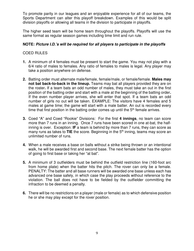To promote parity in our leagues and an enjoyable experience for all of our teams, the Sports Department can alter this playoff breakdown. Examples of this would be split division playoffs or allowing all teams in the division to participate in playoffs.

The higher seed team will be home team throughout the playoffs. Playoffs will use the same format as regular season games including time limit and run rule.

# **NOTE: Picture I.D.'s will be required for all players to participate in the playoffs**

# COED RULES

- **1.** A minimum of 4 females must be present to start the game. You may not play with a 6/4 ratio of males to females. Any ratio of females to males is legal. Any player may take a position anywhere on defense.
- **2.** Batting order must alternate male/female, female/male, or female/female. **Males may not bat back-to-back in the lineup.** Teams may bat all players provided they are on the roster**.** If a team bats an odd number of males, they must take an out in the first position of the batting order and start with a male at the beginning of the batting order**.**  If the even number player arrives, she will enter that spot. If a team bats an odd number of girls no out will be taken. EXAMPLE: The visitors have 4 females and 5 males at game time; the game will start with a male batter. An out is recorded every time that first position in the batting order comes up until the  $5<sup>th</sup>$  female arrives.
- **3.** Coed "A" and Coed "Rookie" Divisions: For the first **4 innings**, no team can score more than 7 runs in an inning. Once 7 runs have been scored in one at-bat, the halfinning is over. Exception: **IF** a team is behind by more than 7 runs, they can score as many runs as takes to **TIE** the score. Beginning in the 5th inning, teams may score an unlimited number of runs.
- **4.** When a male receives a base on balls without a strike being thrown or an intentional walk, he will be awarded first and second base. The next female batter has the option of going to first base or taking her "at bat".
- **5.** A minimum of 3 outfielders must be behind the outfield restriction line (160-foot arc from home plate) when the batter hits the pitch. The rover can only be a female. PENALTY: The batter and all base runners will be awarded one base unless each has advanced one base safely, in which case the play proceeds without reference to the violation. The ball does not have to be fielded by the outfielder committing the infraction to be deemed a penalty.
- **6.** There will be no restrictions on a player (male or female) as to which defensive position he or she may play except for the rover position.